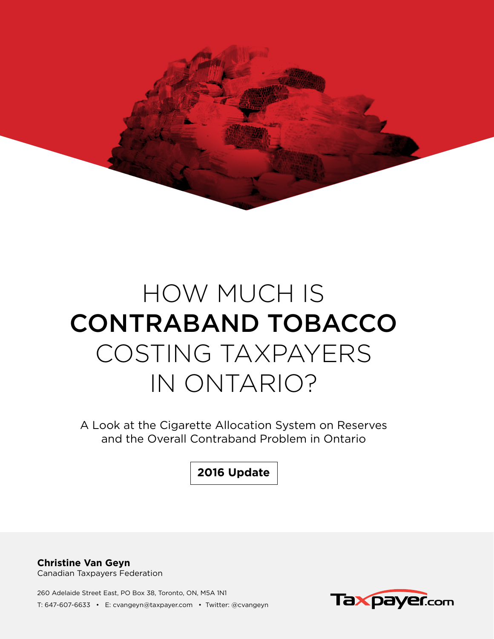

# HOW MUCH IS CONTRABAND TOBACCO COSTING TAXPAYERS IN ONTARIO?

A Look at the Cigarette Allocation System on Reserves and the Overall Contraband Problem in Ontario

**2016 Update**

**Christine Van Geyn** Canadian Taxpayers Federation

260 Adelaide Street East, PO Box 38, Toronto, ON, M5A 1N1 T: 647-607-6633 • E: cvangeyn@taxpayer.com • Twitter: @cvangeyn

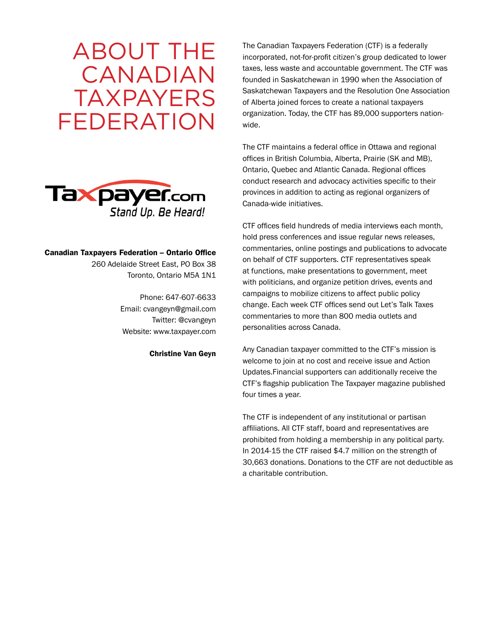# ABOUT THE CANADIAN TAXPAYERS FEDERATION



#### Canadian Taxpayers Federation – Ontario Office

260 Adelaide Street East, PO Box 38 Toronto, Ontario M5A 1N1

> Phone: 647-607-6633 Email: cvangeyn@gmail.com Twitter: @cvangeyn Website: www.taxpayer.com

> > Christine Van Geyn

The Canadian Taxpayers Federation (CTF) is a federally incorporated, not-for-profit citizen's group dedicated to lower taxes, less waste and accountable government. The CTF was founded in Saskatchewan in 1990 when the Association of Saskatchewan Taxpayers and the Resolution One Association of Alberta joined forces to create a national taxpayers organization. Today, the CTF has 89,000 supporters nationwide.

The CTF maintains a federal office in Ottawa and regional offices in British Columbia, Alberta, Prairie (SK and MB), Ontario, Quebec and Atlantic Canada. Regional offices conduct research and advocacy activities specific to their provinces in addition to acting as regional organizers of Canada-wide initiatives.

CTF offices field hundreds of media interviews each month, hold press conferences and issue regular news releases, commentaries, online postings and publications to advocate on behalf of CTF supporters. CTF representatives speak at functions, make presentations to government, meet with politicians, and organize petition drives, events and campaigns to mobilize citizens to affect public policy change. Each week CTF offices send out Let's Talk Taxes commentaries to more than 800 media outlets and personalities across Canada.

Any Canadian taxpayer committed to the CTF's mission is welcome to join at no cost and receive issue and Action Updates.Financial supporters can additionally receive the CTF's flagship publication The Taxpayer magazine published four times a year.

The CTF is independent of any institutional or partisan affiliations. All CTF staff, board and representatives are prohibited from holding a membership in any political party. In 2014-15 the CTF raised \$4.7 million on the strength of 30,663 donations. Donations to the CTF are not deductible as a charitable contribution.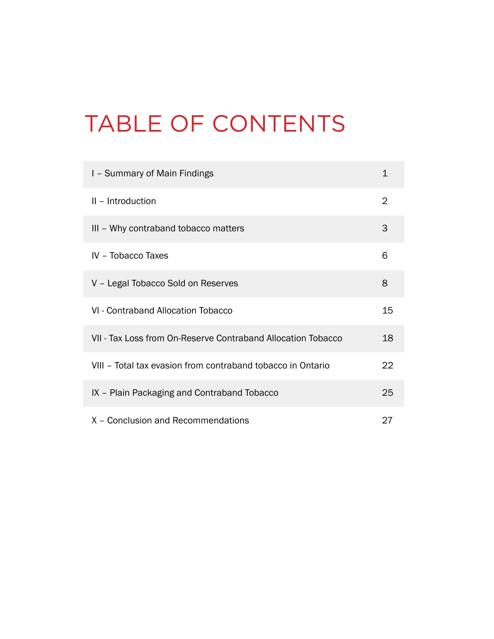# TABLE OF CONTENTS

| I - Summary of Main Findings                                 | 1              |
|--------------------------------------------------------------|----------------|
| II - Introduction                                            | $\overline{2}$ |
| III - Why contraband tobacco matters                         | 3              |
| IV - Tobacco Taxes                                           | 6              |
| V - Legal Tobacco Sold on Reserves                           | 8              |
| VI - Contraband Allocation Tobacco                           | 15             |
| VII - Tax Loss from On-Reserve Contraband Allocation Tobacco | 18             |
| VIII - Total tax evasion from contraband tobacco in Ontario  | 22             |
| IX – Plain Packaging and Contraband Tobacco                  | 25             |
| X - Conclusion and Recommendations                           | 27             |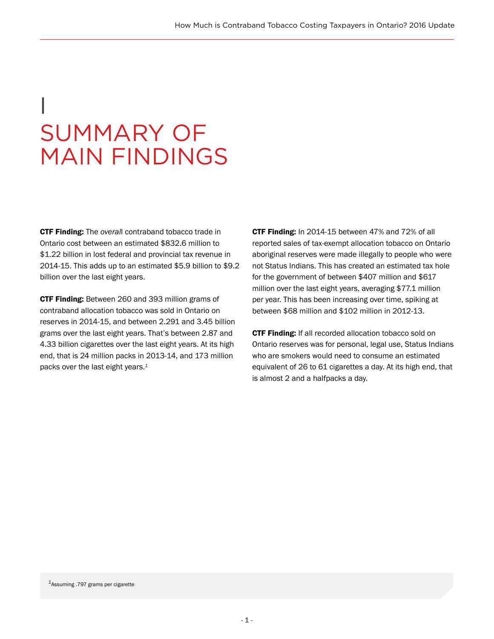# I SUMMARY OF MAIN FINDINGS

CTF Finding: The *overal*l contraband tobacco trade in Ontario cost between an estimated \$832.6 million to \$1.22 billion in lost federal and provincial tax revenue in 2014-15. This adds up to an estimated \$5.9 billion to \$9.2 billion over the last eight years.

CTF Finding: Between 260 and 393 million grams of contraband allocation tobacco was sold in Ontario on reserves in 2014-15, and between 2.291 and 3.45 billion grams over the last eight years. That's between 2.87 and 4.33 billion cigarettes over the last eight years. At its high end, that is 24 million packs in 2013-14, and 173 million packs over the last eight years.*<sup>1</sup>*

CTF Finding: In 2014-15 between 47% and 72% of all reported sales of tax-exempt allocation tobacco on Ontario aboriginal reserves were made illegally to people who were not Status Indians. This has created an estimated tax hole for the government of between \$407 million and \$617 million over the last eight years, averaging \$77.1 million per year. This has been increasing over time, spiking at between \$68 million and \$102 million in 2012-13.

CTF Finding: If all recorded allocation tobacco sold on Ontario reserves was for personal, legal use, Status Indians who are smokers would need to consume an estimated equivalent of 26 to 61 cigarettes a day. At its high end, that is almost 2 and a halfpacks a day.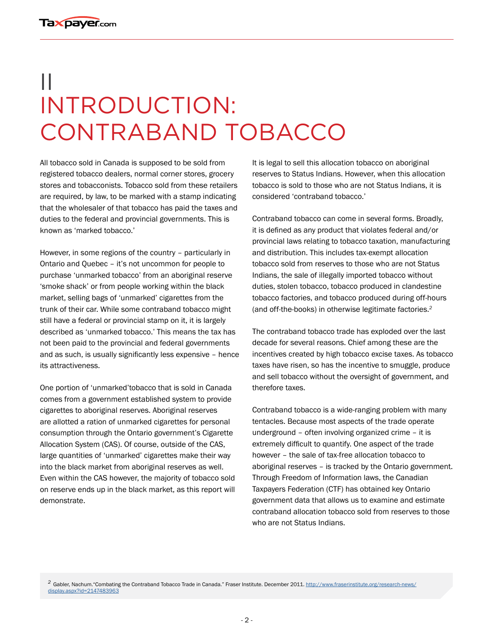# II INTRODUCTION: CONTRABAND TOBACCO

All tobacco sold in Canada is supposed to be sold from registered tobacco dealers, normal corner stores, grocery stores and tobacconists. Tobacco sold from these retailers are required, by law, to be marked with a stamp indicating that the wholesaler of that tobacco has paid the taxes and duties to the federal and provincial governments. This is known as 'marked tobacco.'

However, in some regions of the country – particularly in Ontario and Quebec – it's not uncommon for people to purchase 'unmarked tobacco' from an aboriginal reserve 'smoke shack' or from people working within the black market, selling bags of 'unmarked' cigarettes from the trunk of their car. While some contraband tobacco might still have a federal or provincial stamp on it, it is largely described as 'unmarked tobacco.' This means the tax has not been paid to the provincial and federal governments and as such, is usually significantly less expensive – hence its attractiveness.

One portion of 'unmarked'tobacco that is sold in Canada comes from a government established system to provide cigarettes to aboriginal reserves. Aboriginal reserves are allotted a ration of unmarked cigarettes for personal consumption through the Ontario government's Cigarette Allocation System (CAS). Of course, outside of the CAS, large quantities of 'unmarked' cigarettes make their way into the black market from aboriginal reserves as well. Even within the CAS however, the majority of tobacco sold on reserve ends up in the black market, as this report will demonstrate.

It is legal to sell this allocation tobacco on aboriginal reserves to Status Indians. However, when this allocation tobacco is sold to those who are not Status Indians, it is considered 'contraband tobacco.'

Contraband tobacco can come in several forms. Broadly, it is defined as any product that violates federal and/or provincial laws relating to tobacco taxation, manufacturing and distribution. This includes tax-exempt allocation tobacco sold from reserves to those who are not Status Indians, the sale of illegally imported tobacco without duties, stolen tobacco, tobacco produced in clandestine tobacco factories, and tobacco produced during off-hours (and off-the-books) in otherwise legitimate factories.*<sup>2</sup>*

The contraband tobacco trade has exploded over the last decade for several reasons. Chief among these are the incentives created by high tobacco excise taxes. As tobacco taxes have risen, so has the incentive to smuggle, produce and sell tobacco without the oversight of government, and therefore taxes.

Contraband tobacco is a wide-ranging problem with many tentacles. Because most aspects of the trade operate underground – often involving organized crime – it is extremely difficult to quantify. One aspect of the trade however – the sale of tax-free allocation tobacco to aboriginal reserves – is tracked by the Ontario government. Through Freedom of Information laws, the Canadian Taxpayers Federation (CTF) has obtained key Ontario government data that allows us to examine and estimate contraband allocation tobacco sold from reserves to those who are not Status Indians.

*<sup>2</sup>*Gabler, Nachum."Combating the Contraband Tobacco Trade in Canada." Fraser Institute. December 2011. [http://www.fraserinstitute.org/research-news/](http://www.fraserinstitute.org/research-news/display.aspx?id=2147483963) [display.aspx?id=2147483963](http://www.fraserinstitute.org/research-news/display.aspx?id=2147483963)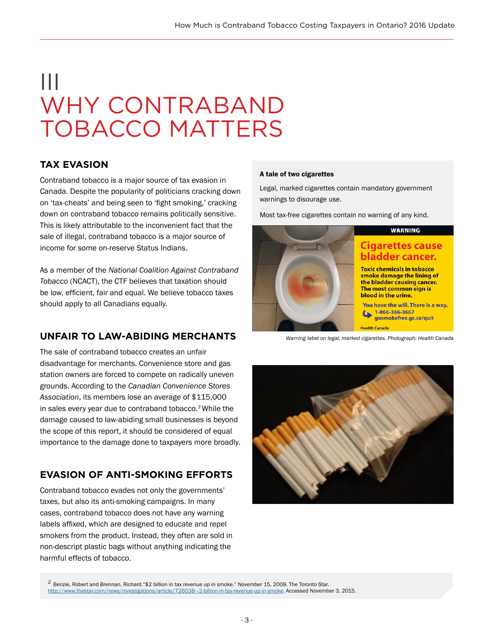# III WHY CONTRABAND TOBACCO MATTERS

## **TAX EVASION**

Contraband tobacco is a major source of tax evasion in Canada. Despite the popularity of politicians cracking down on 'tax-cheats' and being seen to 'fight smoking,' cracking down on contraband tobacco remains politically sensitive. This is likely attributable to the inconvenient fact that the sale of illegal, contraband tobacco is a major source of income for some on-reserve Status Indians.

As a member of the *National Coalition Against Contraband Tobacco* (NCACT), the CTF believes that taxation should be low, efficient, fair and equal. We believe tobacco taxes should apply to all Canadians equally.

### **UNFAIR TO LAW-ABIDING MERCHANTS**

The sale of contraband tobacco creates an unfair disadvantage for merchants. Convenience store and gas station owners are forced to compete on radically uneven grounds. According to the *Canadian Convenience Stores Association*, its members lose an average of \$115,000 in sales every year due to contraband tobacco.*<sup>3</sup>*While the damage caused to law-abiding small businesses is beyond the scope of this report, it should be considered of equal importance to the damage done to taxpayers more broadly.

# **EVASION OF ANTI-SMOKING EFFORTS**

Contraband tobacco evades not only the governments' taxes, but also its anti-smoking campaigns. In many cases, contraband tobacco does not have any warning labels affixed, which are designed to educate and repel smokers from the product. Instead, they often are sold in non-descript plastic bags without anything indicating the harmful effects of tobacco.

#### A tale of two cigarettes

Legal, marked cigarettes contain mandatory government warnings to disourage use.

Most tax-free cigarettes contain no warning of any kind.



*Warning label on legal, marked cigarettes. Photograph: Health Canada*



<sup>2</sup> Benzie, Robert and Brennan, Richard. "\$2 billion in tax revenue up in smoke." November 15, 2009. The Toronto Star. http://www.thestar.com/news/investigations/article/726038--2-billion-in-tax-revenue-up-in-smoke. Accessed November 3, 2015.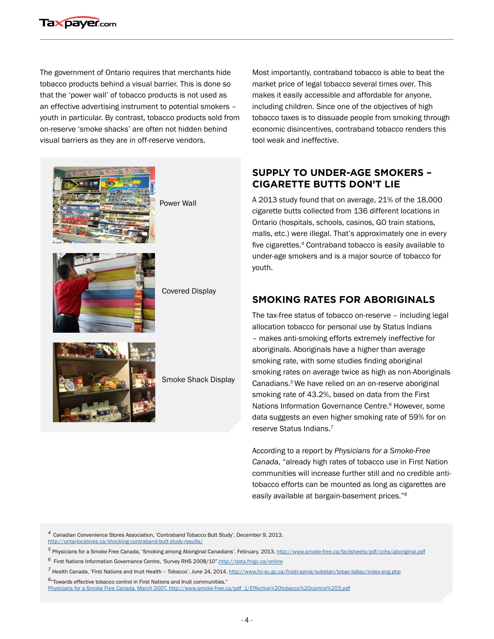

The government of Ontario requires that merchants hide tobacco products behind a visual barrier. This is done so that the 'power wall' of tobacco products is not used as an effective advertising instrument to potential smokers – youth in particular. By contrast, tobacco products sold from on-reserve 'smoke shacks' are often not hidden behind visual barriers as they are in off-reserve vendors.





Smoke Shack Display

Most importantly, contraband tobacco is able to beat the market price of legal tobacco several times over. This makes it easily accessible and affordable for anyone, including children. Since one of the objectives of high tobacco taxes is to dissuade people from smoking through economic disincentives, contraband tobacco renders this tool weak and ineffective.

### **SUPPLY TO UNDER-AGE SMOKERS – CIGARETTE BUTTS DON'T LIE**

A 2013 study found that on average, 21% of the 18,000 cigarette butts collected from 136 different locations in Ontario (hospitals, schools, casinos, GO train stations, malls, etc.) were illegal. That's approximately one in every five cigarettes.*<sup>4</sup>* Contraband tobacco is easily available to under-age smokers and is a major source of tobacco for youth.

### **SMOKING RATES FOR ABORIGINALS**

The tax-free status of tobacco on-reserve – including legal allocation tobacco for personal use by Status Indians – makes anti-smoking efforts extremely ineffective for aboriginals. Aboriginals have a higher than average smoking rate, with some studies finding aboriginal smoking rates on average twice as high as non-Aboriginals Canadians.*<sup>5</sup>*We have relied on an on-reserve aboriginal smoking rate of 43.2%, based on data from the First Nations Information Governance Centre.*<sup>6</sup>* However, some data suggests an even higher smoking rate of 59% for on reserve Status Indians.*<sup>7</sup>*

According to a report by *Physicians for a Smoke-Free Canada*, "already high rates of tobacco use in First Nation communities will increase further still and no credible antitobacco efforts can be mounted as long as cigarettes are easily available at bargain-basement prices."*8*

*<sup>4</sup>*Canadian Convenience Stores Association, 'Contraband Tobacco Butt Study'. December 9, 2013. <http://ontariocstores.ca/shocking-contraband-butt-study-results/>

*<sup>5</sup>* Physicians for a Smoke Free Canada, 'Smoking among Aboriginal Canadians'. February, 2013.<http://www.smoke-free.ca/factsheets/pdf/cchs/aboriginal.pdf>

- *<sup>6</sup>* First Nations Information Governance Centre, 'Survey RHS 2008/10"[.http://data.fnigc.ca/online](http://data.fnigc.ca/online)
- *<sup>7</sup>* Health Canada, 'First Nations and Inuit Health Tobacco'. June 24, 2014. <http://www.hc-sc.gc.ca/fniah-spnia/substan/tobac-tabac/index-eng.php>
- *<sup>8</sup>*"Towards effective tobacco control in First Nations and Inuit communities." [Physicians for a Smoke Free Canada. March 2007. http://www.smoke-free.ca/pdf\\_1/Effective%20tobacco%20control%203.pdf](Physicians for a Smoke Free Canada. March 2007. http://www.smoke-free.ca/pdf_1/Effective%20tobacco%2)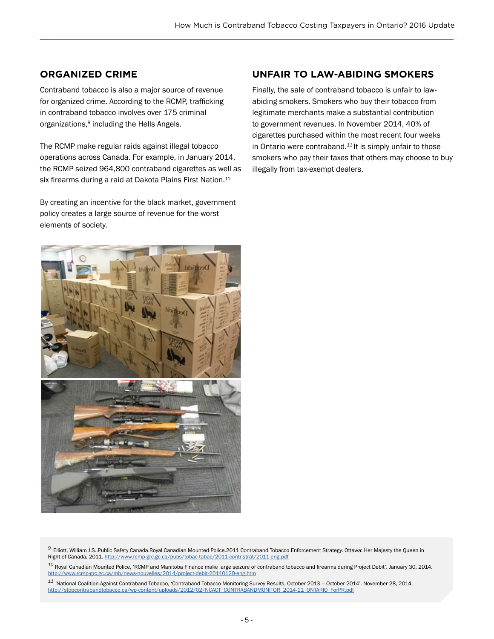#### **ORGANIZED CRIME**

Contraband tobacco is also a major source of revenue for organized crime. According to the RCMP, trafficking in contraband tobacco involves over 175 criminal organizations,*<sup>9</sup>* including the Hells Angels.

The RCMP make regular raids against illegal tobacco operations across Canada. For example, in January 2014, the RCMP seized 964,800 contraband cigarettes as well as six firearms during a raid at Dakota Plains First Nation.*<sup>10</sup>*

By creating an incentive for the black market, government policy creates a large source of revenue for the worst elements of society.

### **UNFAIR TO LAW-ABIDING SMOKERS**

Finally, the sale of contraband tobacco is unfair to lawabiding smokers. Smokers who buy their tobacco from legitimate merchants make a substantial contribution to government revenues. In November 2014, 40% of cigarettes purchased within the most recent four weeks in Ontario were contraband.*<sup>11</sup>*It is simply unfair to those smokers who pay their taxes that others may choose to buy illegally from tax-exempt dealers.



*<sup>9</sup>*Elliott, William J.S..Public Safety Canada.Royal Canadian Mounted Police.2011 Contraband Tobacco Enforcement Strategy. Ottawa: Her Majesty the Queen in Right of Canada, 2011. <http://www.rcmp-grc.gc.ca/pubs/tobac-tabac/2011-contr-strat/2011-eng.pdf>

*<sup>11</sup>* National Coalition Against Contraband Tobacco, 'Contraband Tobacco Monitoring Survey Results, October 2013 – October 2014'. November 28, 2014. [http://stopcontrabandtobacco.ca/wp-content/uploads/2012/02/NCACT\\_CONTRABANDMONITOR\\_2014-11\\_ONTARIO\\_ForPR.pdf](http://stopcontrabandtobacco.ca/wp-content/uploads/2012/02/NCACT_CONTRABANDMONITOR_2014-11_ONTARIO_F)

*<sup>10</sup>* Royal Canadian Mounted Police, 'RCMP and Manitoba Finance make large seizure of contraband tobacco and firearms during Project Debit'. January 30, 2014. <http://www.rcmp-grc.gc.ca/mb/news-nouvelles/2014/project-debit-20140120-eng.htm>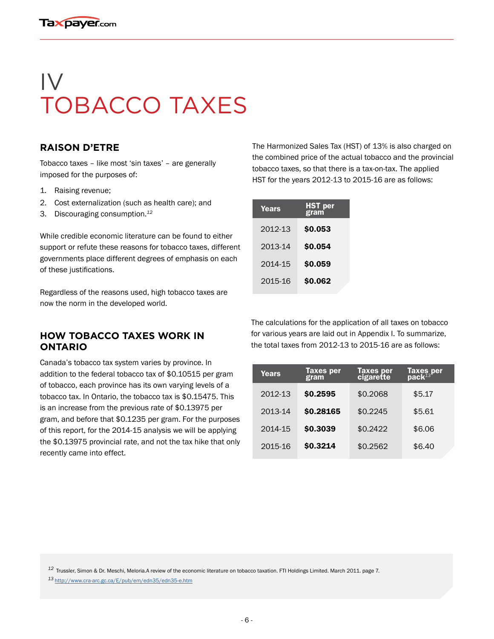# IV TOBACCO TAXES

#### **RAISON D'ETRE**

Tobacco taxes – like most 'sin taxes' – are generally imposed for the purposes of:

- 1. Raising revenue;
- 2. Cost externalization (such as health care); and
- 3. Discouraging consumption.*<sup>12</sup>*

While credible economic literature can be found to either support or refute these reasons for tobacco taxes, different governments place different degrees of emphasis on each of these justifications.

Regardless of the reasons used, high tobacco taxes are now the norm in the developed world.

#### **HOW TOBACCO TAXES WORK IN ONTARIO**

Canada's tobacco tax system varies by province. In addition to the federal tobacco tax of \$0.10515 per gram of tobacco, each province has its own varying levels of a tobacco tax. In Ontario, the tobacco tax is \$0.15475. This is an increase from the previous rate of \$0.13975 per gram, and before that \$0.1235 per gram. For the purposes of this report, for the 2014-15 analysis we will be applying the \$0.13975 provincial rate, and not the tax hike that only recently came into effect.

The Harmonized Sales Tax (HST) of 13% is also charged on the combined price of the actual tobacco and the provincial tobacco taxes, so that there is a tax-on-tax. The applied HST for the years 2012-13 to 2015-16 are as follows:

| <b>Years</b> | HST per<br>gram |
|--------------|-----------------|
| 2012-13      | \$0.053         |
| 2013-14      | \$0.054         |
| 2014-15      | \$0.059         |
| 2015-16      | \$0.062         |

The calculations for the application of all taxes on tobacco for various years are laid out in Appendix I. To summarize, the total taxes from 2012-13 to 2015-16 are as follows:

| Years   | <b>Taxes per</b><br>gram | Taxes per<br>cigarette | Taxes per<br>pack $^{13}$ |
|---------|--------------------------|------------------------|---------------------------|
| 2012-13 | \$0.2595                 | \$0.2068               | \$5.17                    |
| 2013-14 | \$0.28165                | \$0.2245               | \$5.61                    |
| 2014-15 | \$0,3039                 | \$0.2422               | \$6.06                    |
| 2015-16 | \$0.3214                 | \$0.2562               | \$6.40                    |

*<sup>12</sup>*Trussler, Simon & Dr. Meschi, Meloria.A review of the economic literature on tobacco taxation. FTI Holdings Limited. March 2011. page 7.

*<sup>13</sup>*http://www.cra-arc.gc.ca/E/pub/em/edn35/edn35-e.htm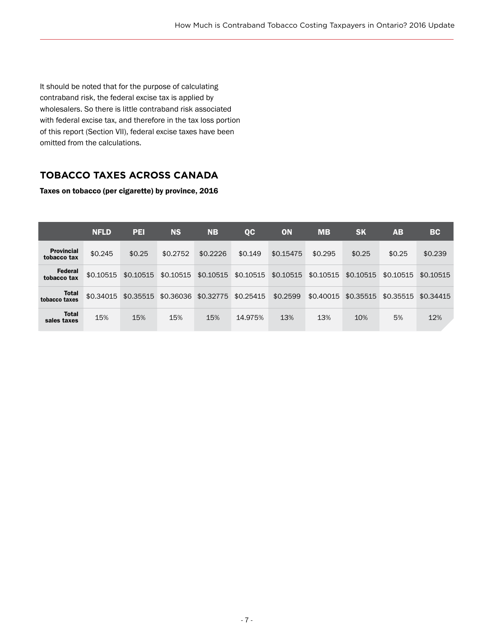It should be noted that for the purpose of calculating contraband risk, the federal excise tax is applied by wholesalers. So there is little contraband risk associated with federal excise tax, and therefore in the tax loss portion of this report (Section VII), federal excise taxes have been omitted from the calculations.

# **TOBACCO TAXES ACROSS CANADA**

Taxes on tobacco (per cigarette) by province, 2016

|                                  | <b>NFLD</b> | PEI       | <b>NS</b> | <b>NB</b> | $_{\rm QC}$ | ON        | <b>MB</b> | <b>SK</b> | <b>AB</b> | <b>BC</b> |
|----------------------------------|-------------|-----------|-----------|-----------|-------------|-----------|-----------|-----------|-----------|-----------|
| <b>Provincial</b><br>tobacco tax | \$0.245     | \$0.25    | \$0.2752  | \$0.2226  | \$0.149     | \$0.15475 | \$0.295   | \$0.25    | \$0.25    | \$0.239   |
| <b>Federal</b><br>tobacco tax    | \$0.10515   | \$0.10515 | \$0.10515 | \$0.10515 | \$0.10515   | \$0.10515 | \$0.10515 | \$0.10515 | \$0.10515 | \$0.10515 |
| <b>Total</b><br>tobacco taxes    | \$0.34015   | \$0.35515 | \$0.36036 | \$0.32775 | \$0.25415   | \$0.2599  | \$0.40015 | \$0.35515 | \$0.35515 | \$0.34415 |
| <b>Total</b><br>sales taxes      | 15%         | 15%       | 15%       | 15%       | 14.975%     | 13%       | 13%       | 10%       | 5%        | 12%       |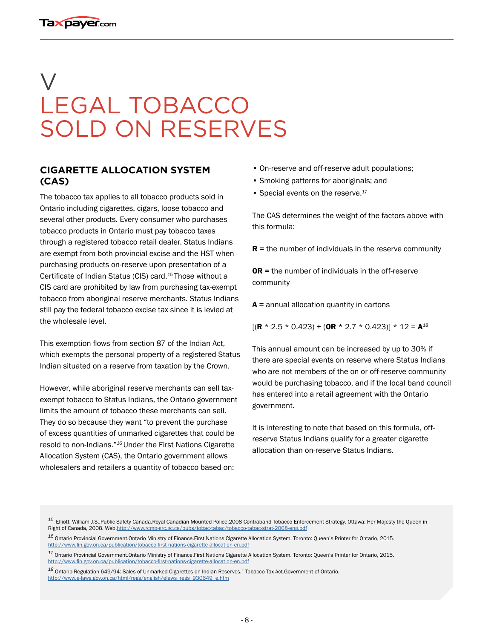# V LEGAL TOBACCO SOLD ON RESERVES

#### **CIGARETTE ALLOCATION SYSTEM (CAS)**

The tobacco tax applies to all tobacco products sold in Ontario including cigarettes, cigars, loose tobacco and several other products. Every consumer who purchases tobacco products in Ontario must pay tobacco taxes through a registered tobacco retail dealer. Status Indians are exempt from both provincial excise and the HST when purchasing products on-reserve upon presentation of a Certificate of Indian Status (CIS) card.*<sup>15</sup>*Those without a CIS card are prohibited by law from purchasing tax-exempt tobacco from aboriginal reserve merchants. Status Indians still pay the federal tobacco excise tax since it is levied at the wholesale level.

This exemption flows from section 87 of the Indian Act, which exempts the personal property of a registered Status Indian situated on a reserve from taxation by the Crown.

However, while aboriginal reserve merchants can sell taxexempt tobacco to Status Indians, the Ontario government limits the amount of tobacco these merchants can sell. They do so because they want "to prevent the purchase of excess quantities of unmarked cigarettes that could be resold to non-Indians."*<sup>16</sup>*Under the First Nations Cigarette Allocation System (CAS), the Ontario government allows wholesalers and retailers a quantity of tobacco based on:

- On-reserve and off-reserve adult populations;
- Smoking patterns for aboriginals; and
- Special events on the reserve.*<sup>17</sup>*

The CAS determines the weight of the factors above with this formula:

 $R$  = the number of individuals in the reserve community

OR = the number of individuals in the off-reserve community

 $A =$  annual allocation quantity in cartons

 $[(R * 2.5 * 0.423) + (OR * 2.7 * 0.423)] * 12 = A^{18}$ 

This annual amount can be increased by up to 30% if there are special events on reserve where Status Indians who are not members of the on or off-reserve community would be purchasing tobacco, and if the local band council has entered into a retail agreement with the Ontario government.

It is interesting to note that based on this formula, offreserve Status Indians qualify for a greater cigarette allocation than on-reserve Status Indians.

*<sup>18</sup>* Ontario Regulation 649/94: Sales of Unmarked Cigarettes on Indian Reserves." Tobacco Tax Act.Government of Ontario. [http://www.e-laws.gov.on.ca/html/regs/english/elaws\\_regs\\_930649\\_e.htm](http://www.e-laws.gov.on.ca/html/regs/english/elaws_regs_930649_e.htm)

*<sup>15</sup>*Elliott, William J.S..Public Safety Canada.Royal Canadian Mounted Police.2008 Contraband Tobacco Enforcement Strategy. Ottawa: Her Majesty the Queen in Right of Canada, 2008. Web.<http://www.rcmp-grc.gc.ca/pubs/tobac-tabac/tobacco-tabac-strat-2008-eng.pdf>

*<sup>16</sup>* Ontario Provincial Government.Ontario Ministry of Finance.First Nations Cigarette Allocation System. Toronto: Queen's Printer for Ontario, 2015. <http://www.fin.gov.on.ca/publication/tobacco-first-nations-cigarette-allocation-en.pdf>

*<sup>17</sup>* Ontario Provincial Government.Ontario Ministry of Finance.First Nations Cigarette Allocation System. Toronto: Queen's Printer for Ontario, 2015. <http://www.fin.gov.on.ca/publication/tobacco-first-nations-cigarette-allocation-en.pdf>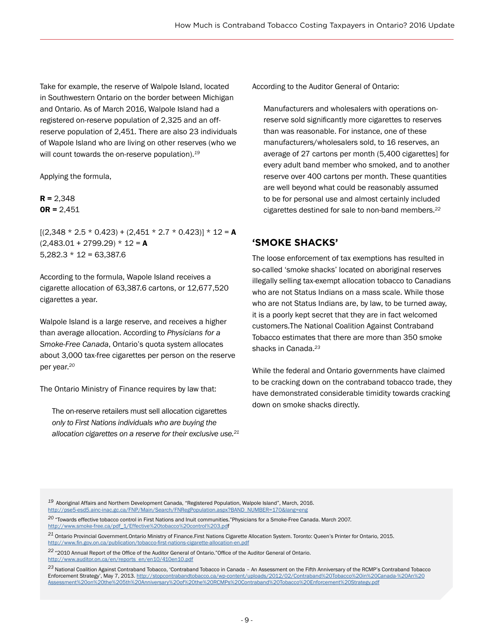Take for example, the reserve of Walpole Island, located in Southwestern Ontario on the border between Michigan and Ontario. As of March 2016, Walpole Island had a registered on-reserve population of 2,325 and an offreserve population of 2,451. There are also 23 individuals of Wapole Island who are living on other reserves (who we will count towards the on-reserve population).*<sup>19</sup>*

Applying the formula,

 $R = 2,348$  $OR = 2,451$ 

 $[(2,348 * 2.5 * 0.423) + (2,451 * 2.7 * 0.423)] * 12 = A$  $(2,483.01 + 2799.29) * 12 = A$  $5,282.3 * 12 = 63,387.6$ 

According to the formula, Wapole Island receives a cigarette allocation of 63,387.6 cartons, or 12,677,520 cigarettes a year.

Walpole Island is a large reserve, and receives a higher than average allocation. According to *Physicians for a Smoke-Free Canada*, Ontario's quota system allocates about 3,000 tax-free cigarettes per person on the reserve per year.*<sup>20</sup>*

The Ontario Ministry of Finance requires by law that:

The on-reserve retailers must sell allocation cigarettes *only to First Nations individuals who are buying the allocation cigarettes on a reserve for their exclusive use.21* According to the Auditor General of Ontario:

Manufacturers and wholesalers with operations onreserve sold significantly more cigarettes to reserves than was reasonable. For instance, one of these manufacturers/wholesalers sold, to 16 reserves, an average of 27 cartons per month (5,400 cigarettes] for every adult band member who smoked, and to another reserve over 400 cartons per month. These quantities are well beyond what could be reasonably assumed to be for personal use and almost certainly included cigarettes destined for sale to non-band members.*<sup>22</sup>*

#### **'SMOKE SHACKS'**

The loose enforcement of tax exemptions has resulted in so-called 'smoke shacks' located on aboriginal reserves illegally selling tax-exempt allocation tobacco to Canadians who are not Status Indians on a mass scale. While those who are not Status Indians are, by law, to be turned away, it is a poorly kept secret that they are in fact welcomed customers.The National Coalition Against Contraband Tobacco estimates that there are more than 350 smoke shacks in Canada.*<sup>23</sup>*

While the federal and Ontario governments have claimed to be cracking down on the contraband tobacco trade, they have demonstrated considerable timidity towards cracking down on smoke shacks directly.

*<sup>20</sup>* "Towards effective tobacco control in First Nations and Inuit communities."Physicians for a Smoke-Free Canada. March 2007. [http://www.smoke-free.ca/pdf\\_1/Effective%20tobacco%20control%203.pd](http://www.smoke-free.ca/pdf_1/Effective%20tobacco%20control%203.pd)f

*<sup>21</sup>* Ontario Provincial Government.Ontario Ministry of Finance.First Nations Cigarette Allocation System. Toronto: Queen's Printer for Ontario, 2015. <http://www.fin.gov.on.ca/publication/tobacco-first-nations-cigarette-allocation-en.pdf>

*<sup>22</sup>*"2010 Annual Report of the Office of the Auditor General of Ontario."Office of the Auditor General of Ontario. [http://www.auditor.on.ca/en/reports\\_en/en10/410en10.pdf](http://www.auditor.on.ca/en/reports_en/en10/410en10.pdf)

*<sup>23</sup>*National Coalition Against Contraband Tobacco, 'Contraband Tobacco in Canada – An Assessment on the Fifth Anniversary of the RCMP's Contraband Tobacco Enforcement Strategy', May 7, 2013. [http://stopcontrabandtobacco.ca/wp-content/uploads/2012/02/Contraband%20Tobacco%20in%20Canada-%20An%20](http://stopcontrabandtobacco.ca/wp-content/uploads/2012/02/Contraband%20Tobacco%20in%20Canada-%20An%) [Assessment%20on%20the%205th%20Anniversary%20of%20the%20RCMPs%20Contraband%20Tobacco%20Enforcement%20Strategy.pdf](http://stopcontrabandtobacco.ca/wp-content/uploads/2012/02/Contraband%20Tobacco%20in%20Canada-%20An%)

*<sup>19</sup>*Aboriginal Affairs and Northern Development Canada, "Registered Population, Walpole Island", March, 2016. [http://pse5-esd5.ainc-inac.gc.ca/FNP/Main/Search/FNRegPopulation.aspx?BAND\\_NUMBER=170&lang=eng](http://pse5-esd5.ainc-inac.gc.ca/FNP/Main/Search/FNRegPopulation.aspx?BAND_NUMBER=170&lang=eng)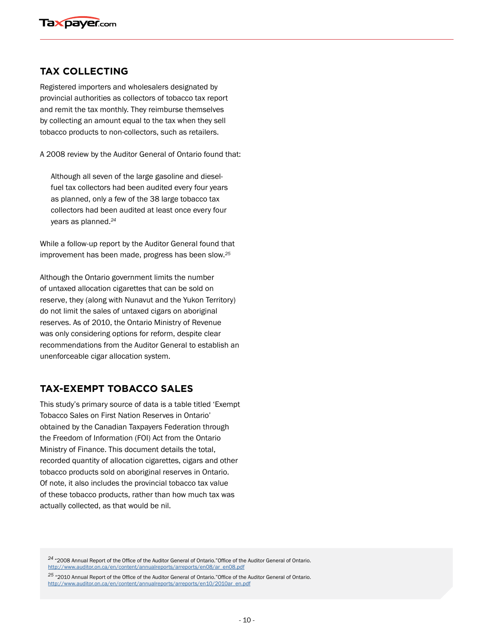### **TAX COLLECTING**

Registered importers and wholesalers designated by provincial authorities as collectors of tobacco tax report and remit the tax monthly. They reimburse themselves by collecting an amount equal to the tax when they sell tobacco products to non-collectors, such as retailers.

A 2008 review by the Auditor General of Ontario found that:

Although all seven of the large gasoline and dieselfuel tax collectors had been audited every four years as planned, only a few of the 38 large tobacco tax collectors had been audited at least once every four years as planned.*<sup>24</sup>*

While a follow-up report by the Auditor General found that improvement has been made, progress has been slow.*<sup>25</sup>*

Although the Ontario government limits the number of untaxed allocation cigarettes that can be sold on reserve, they (along with Nunavut and the Yukon Territory) do not limit the sales of untaxed cigars on aboriginal reserves. As of 2010, the Ontario Ministry of Revenue was only considering options for reform, despite clear recommendations from the Auditor General to establish an unenforceable cigar allocation system.

#### **TAX-EXEMPT TOBACCO SALES**

This study's primary source of data is a table titled 'Exempt Tobacco Sales on First Nation Reserves in Ontario' obtained by the Canadian Taxpayers Federation through the Freedom of Information (FOI) Act from the Ontario Ministry of Finance. This document details the total, recorded quantity of allocation cigarettes, cigars and other tobacco products sold on aboriginal reserves in Ontario. Of note, it also includes the provincial tobacco tax value of these tobacco products, rather than how much tax was actually collected, as that would be nil.

*<sup>24</sup>*"2008 Annual Report of the Office of the Auditor General of Ontario."Office of the Auditor General of Ontario. [http://www.auditor.on.ca/en/content/annualreports/arreports/en08/ar\\_en08.pdf](http://www.auditor.on.ca/en/content/annualreports/arreports/en08/ar_en08.pdf)

*<sup>25</sup>* "2010 Annual Report of the Office of the Auditor General of Ontario."Office of the Auditor General of Ontario. [http://www.auditor.on.ca/en/content/annualreports/arreports/en10/2010ar\\_en.pdf](http://www.auditor.on.ca/en/content/annualreports/arreports/en10/2010ar_en.pdf)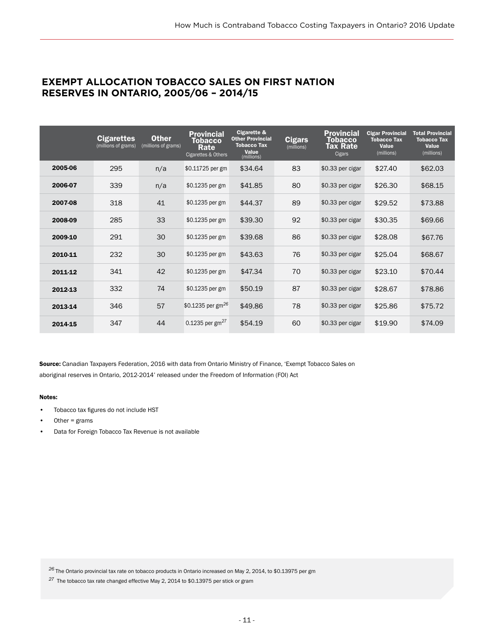#### **EXEMPT ALLOCATION TOBACCO SALES ON FIRST NATION RESERVES IN ONTARIO, 2005/06 – 2014/15**

|         | <b>Cigarettes</b><br>(millions of grams) | <b>Other</b><br>(millions of grams) | <b>Provincial</b><br>Tobacco<br>Rate<br>Cigarettes & Others | Cigarette &<br><b>Other Provincial</b><br><b>Tobacco Tax</b><br>Value<br>(millions) | <b>Cigars</b><br>(millions) | <b>Provincial</b><br><b>Tobacco</b><br><b>Tax Rate</b><br>Cigars | <b>Cigar Provincial</b><br><b>Tobacco Tax</b><br><b>Value</b><br>(millions) | <b>Total Provincial</b><br><b>Tobacco Tax</b><br><b>Value</b><br>(millions) |
|---------|------------------------------------------|-------------------------------------|-------------------------------------------------------------|-------------------------------------------------------------------------------------|-----------------------------|------------------------------------------------------------------|-----------------------------------------------------------------------------|-----------------------------------------------------------------------------|
| 2005-06 | 295                                      | n/a                                 | \$0.11725 per gm                                            | \$34.64                                                                             | 83                          | \$0.33 per cigar                                                 | \$27.40                                                                     | \$62.03                                                                     |
| 2006-07 | 339                                      | n/a                                 | \$0.1235 per gm                                             | \$41.85                                                                             | 80                          | \$0.33 per cigar                                                 | \$26.30                                                                     | \$68.15                                                                     |
| 2007-08 | 318                                      | 41                                  | \$0.1235 per gm                                             | \$44.37                                                                             | 89                          | \$0.33 per cigar                                                 | \$29.52                                                                     | \$73.88                                                                     |
| 2008-09 | 285                                      | 33                                  | \$0.1235 per gm                                             | \$39.30                                                                             | 92                          | \$0.33 per cigar                                                 | \$30.35                                                                     | \$69.66                                                                     |
| 2009-10 | 291                                      | 30                                  | \$0.1235 per gm                                             | \$39.68                                                                             | 86                          | \$0.33 per cigar                                                 | \$28.08                                                                     | \$67.76                                                                     |
| 2010-11 | 232                                      | 30                                  | \$0.1235 per gm                                             | \$43.63                                                                             | 76                          | \$0.33 per cigar                                                 | \$25.04                                                                     | \$68.67                                                                     |
| 2011-12 | 341                                      | 42                                  | \$0.1235 per gm                                             | \$47.34                                                                             | 70                          | \$0.33 per cigar                                                 | \$23.10                                                                     | \$70.44                                                                     |
| 2012-13 | 332                                      | 74                                  | \$0.1235 per gm                                             | \$50.19                                                                             | 87                          | \$0.33 per cigar                                                 | \$28.67                                                                     | \$78.86                                                                     |
| 2013-14 | 346                                      | 57                                  | \$0.1235 per gm <sup>26</sup>                               | \$49.86                                                                             | 78                          | \$0.33 per cigar                                                 | \$25.86                                                                     | \$75.72                                                                     |
| 2014-15 | 347                                      | 44                                  | 0.1235 per gm <sup>27</sup>                                 | \$54.19                                                                             | 60                          | \$0.33 per cigar                                                 | \$19.90                                                                     | \$74.09                                                                     |

Source: Canadian Taxpayers Federation, 2016 with data from Ontario Ministry of Finance, 'Exempt Tobacco Sales on aboriginal reserves in Ontario, 2012-2014' released under the Freedom of Information (FOI) Act

#### Notes:

- Tobacco tax figures do not include HST
- Other  $=$  grams
- Data for Foreign Tobacco Tax Revenue is not available

*<sup>26</sup>*The Ontario provincial tax rate on tobacco products in Ontario increased on May 2, 2014, to \$0.13975 per gm

*<sup>27</sup>* The tobacco tax rate changed effective May 2, 2014 to \$0.13975 per stick or gram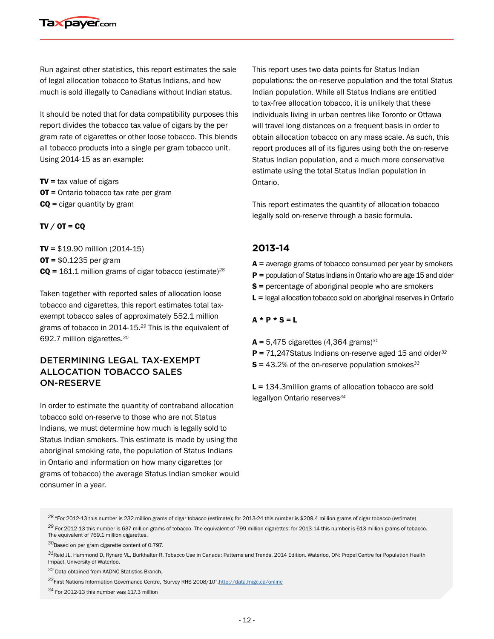Run against other statistics, this report estimates the sale of legal allocation tobacco to Status Indians, and how much is sold illegally to Canadians without Indian status.

It should be noted that for data compatibility purposes this report divides the tobacco tax value of cigars by the per gram rate of cigarettes or other loose tobacco. This blends all tobacco products into a single per gram tobacco unit. Using 2014-15 as an example:

 $TV =$  tax value of cigars OT = Ontario tobacco tax rate per gram  $CQ$  = cigar quantity by gram

#### $TV / OT = CO$

TV = \$19.90 million (2014-15)  $OT = $0.1235$  per gram CQ = 161.1 million grams of cigar tobacco (estimate)*<sup>28</sup>*

Taken together with reported sales of allocation loose tobacco and cigarettes, this report estimates total taxexempt tobacco sales of approximately 552.1 million grams of tobacco in 2014-15.*<sup>29</sup>* This is the equivalent of 692.7 million cigarettes.*<sup>30</sup>*

#### DETERMINING LEGAL TAX-EXEMPT ALLOCATION TOBACCO SALES ON-RESERVE

In order to estimate the quantity of contraband allocation tobacco sold on-reserve to those who are not Status Indians, we must determine how much is legally sold to Status Indian smokers. This estimate is made by using the aboriginal smoking rate, the population of Status Indians in Ontario and information on how many cigarettes (or grams of tobacco) the average Status Indian smoker would consumer in a year.

This report uses two data points for Status Indian populations: the on-reserve population and the total Status Indian population. While all Status Indians are entitled to tax-free allocation tobacco, it is unlikely that these individuals living in urban centres like Toronto or Ottawa will travel long distances on a frequent basis in order to obtain allocation tobacco on any mass scale. As such, this report produces all of its figures using both the on-reserve Status Indian population, and a much more conservative estimate using the total Status Indian population in Ontario.

This report estimates the quantity of allocation tobacco legally sold on-reserve through a basic formula.

#### **2013-14**

- $A$  = average grams of tobacco consumed per year by smokers
- $P =$  population of Status Indians in Ontario who are age 15 and older
- S = percentage of aboriginal people who are smokers
- $L =$  legal allocation tobacco sold on aboriginal reserves in Ontario

#### $A * P * S = L$

A = 5,475 cigarettes (4,364 grams)*<sup>31</sup>* P = 71,247Status Indians on-reserve aged 15 and older*<sup>32</sup>* S = 43.2% of the on-reserve population smokes*<sup>33</sup>*

L = 134.3million grams of allocation tobacco are sold legallyon Ontario reserves*34*

*<sup>28</sup>*"For 2012-13 this number is 232 million grams of cigar tobacco (estimate); for 2013-24 this number is \$209.4 million grams of cigar tobacco (estimate)

*<sup>29</sup>* For 2012-13 this number is 637 million grams of tobacco. The equivalent of 799 million cigarettes; for 2013-14 this number is 613 million grams of tobacco. The equivalent of 769.1 million cigarettes.

*<sup>30</sup>*Based on per gram cigarette content of 0.797.

*<sup>31</sup>*Reid JL, Hammond D, Rynard VL, Burkhalter R. Tobacco Use in Canada: Patterns and Trends, 2014 Edition. Waterloo, ON: Propel Centre for Population Health Impact, University of Waterloo.

*<sup>32</sup>* Data obtained from AADNC Statistics Branch.

*<sup>33</sup>*First Nations Information Governance Centre, 'Survey RHS 2008/10"[.http://data.fnigc.ca/online](http://data.fnigc.ca/online)

*<sup>34</sup>* For 2012-13 this number was 117.3 million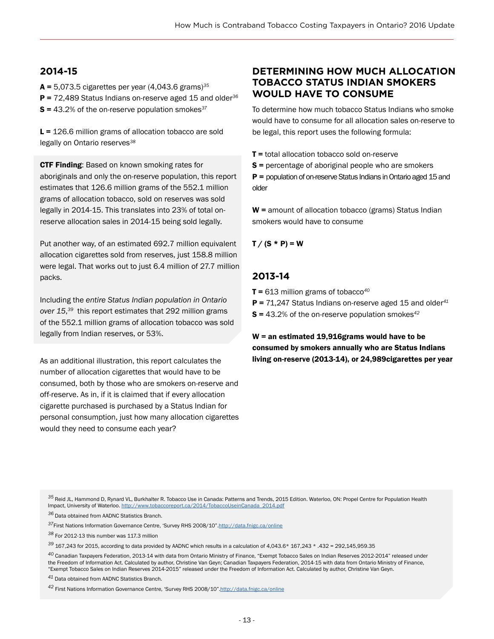### **2014-15**

A = 5,073.5 cigarettes per year (4,043.6 grams)*<sup>35</sup>* P = 72,489 Status Indians on-reserve aged 15 and older*<sup>36</sup>* S = 43.2% of the on-reserve population smokes*<sup>37</sup>*

 $L = 126.6$  million grams of allocation tobacco are sold legally on Ontario reserves*<sup>38</sup>*

**CTF Finding:** Based on known smoking rates for aboriginals and only the on-reserve population, this report estimates that 126.6 million grams of the 552.1 million grams of allocation tobacco, sold on reserves was sold legally in 2014-15. This translates into 23% of total onreserve allocation sales in 2014-15 being sold legally.

Put another way, of an estimated 692.7 million equivalent allocation cigarettes sold from reserves, just 158.8 million were legal. That works out to just 6.4 million of 27.7 million packs.

Including the *entire Status Indian population in Ontario over 15*, *<sup>39</sup>* this report estimates that 292 million grams of the 552.1 million grams of allocation tobacco was sold legally from Indian reserves, or 53%.

As an additional illustration, this report calculates the number of allocation cigarettes that would have to be consumed, both by those who are smokers on-reserve and off-reserve. As in, if it is claimed that if every allocation cigarette purchased is purchased by a Status Indian for personal consumption, just how many allocation cigarettes would they need to consume each year?

### **DETERMINING HOW MUCH ALLOCATION TOBACCO STATUS INDIAN SMOKERS WOULD HAVE TO CONSUME**

To determine how much tobacco Status Indians who smoke would have to consume for all allocation sales on-reserve to be legal, this report uses the following formula:

**T** = total allocation tobacco sold on-reserve

S = percentage of aboriginal people who are smokers P = population of on-reserve Status Indians in Ontario aged 15 and older

 $W =$  amount of allocation tobacco (grams) Status Indian smokers would have to consume

#### $T / (S * P) = W$

#### **2013-14**

T = 613 million grams of tobacco*<sup>40</sup>*

- P = 71,247 Status Indians on-reserve aged 15 and older*<sup>41</sup>*
- S = 43.2% of the on-reserve population smokes*<sup>42</sup>*

 $W =$  an estimated 19,916grams would have to be consumed by smokers annually who are Status Indians living on-reserve (2013-14), or 24,989cigarettes per year

*<sup>35</sup>*Reid JL, Hammond D, Rynard VL, Burkhalter R. Tobacco Use in Canada: Patterns and Trends, 2015 Edition. Waterloo, ON: Propel Centre for Population Health Impact, University of Waterloo. [http://www.tobaccoreport.ca/2014/TobaccoUseinCanada\\_2014.pdf](http://www.tobaccoreport.ca/2014/TobaccoUseinCanada_2014.pdf)

<sup>36</sup> Data obtained from AADNC Statistics Branch.

*<sup>37</sup>*First Nations Information Governance Centre, 'Survey RHS 2008/10"[.http://data.fnigc.ca/online](http://data.fnigc.ca/online )

*<sup>38</sup>* For 2012-13 this number was 117.3 million

*<sup>39</sup>* 167,243 for 2015, according to data provided by AADNC which results in a calculation of 4,043.6\* 167,243 \* .432 = 292,145,959.35

*<sup>40</sup>* Canadian Taxpayers Federation, 2013-14 with data from Ontario Ministry of Finance, "Exempt Tobacco Sales on Indian Reserves 2012-2014" released under the Freedom of Information Act. Calculated by author, Christine Van Geyn; Canadian Taxpayers Federation, 2014-15 with data from Ontario Ministry of Finance, "Exempt Tobacco Sales on Indian Reserves 2014-2015" released under the Freedom of Information Act. Calculated by author, Christine Van Geyn.

*<sup>41</sup>* Data obtained from AADNC Statistics Branch.

*<sup>42</sup>* First Nations Information Governance Centre, 'Survey RHS 2008/10"[.http://data.fnigc.ca/online](http://data.fnigc.ca/online)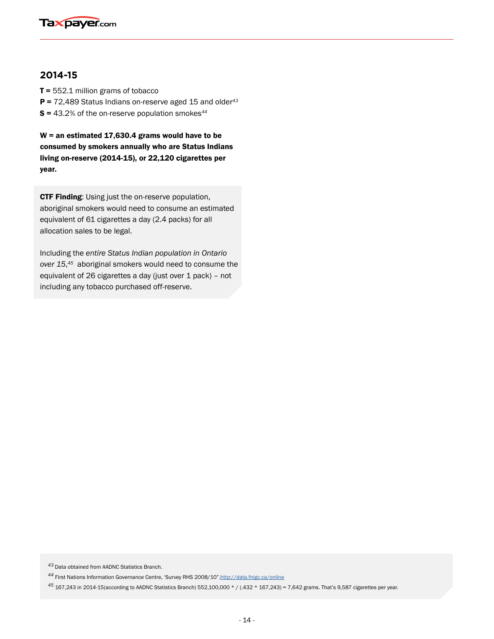

#### **2014-15**

 $T = 552.1$  million grams of tobacco

- P = 72,489 Status Indians on-reserve aged 15 and older*<sup>43</sup>*
- S = 43.2% of the on-reserve population smokes*<sup>44</sup>*

 $W =$  an estimated 17,630.4 grams would have to be consumed by smokers annually who are Status Indians living on-reserve (2014-15), or 22,120 cigarettes per year.

**CTF Finding:** Using just the on-reserve population, aboriginal smokers would need to consume an estimated equivalent of 61 cigarettes a day (2.4 packs) for all allocation sales to be legal.

Including the *entire Status Indian population in Ontario over 15*, *<sup>45</sup>* aboriginal smokers would need to consume the equivalent of 26 cigarettes a day (just over 1 pack) – not including any tobacco purchased off-reserve.

*<sup>43</sup>*Data obtained from AADNC Statistics Branch.

*<sup>44</sup>* First Nations Information Governance Centre, 'Survey RHS 2008/10"[.http://data.fnigc.ca/online](http://data.fnigc.ca/online )

*<sup>45</sup>* 167,243 in 2014-15(according to AADNC Statistics Branch) 552,100,000 \* / (.432 \* 167,243) = 7,642 grams. That's 9,587 cigarettes per year.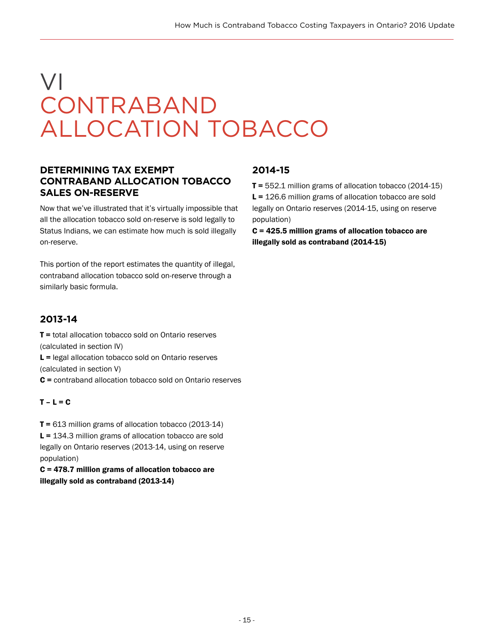# VI CONTRABAND ALLOCATION TOBACCO

### **DETERMINING TAX EXEMPT CONTRABAND ALLOCATION TOBACCO SALES ON-RESERVE**

Now that we've illustrated that it's virtually impossible that all the allocation tobacco sold on-reserve is sold legally to Status Indians, we can estimate how much is sold illegally on-reserve.

This portion of the report estimates the quantity of illegal, contraband allocation tobacco sold on-reserve through a similarly basic formula.

# **2013-14**

**T** = total allocation tobacco sold on Ontario reserves (calculated in section IV)

L = legal allocation tobacco sold on Ontario reserves (calculated in section V)

C = contraband allocation tobacco sold on Ontario reserves

#### $T - L = C$

T = 613 million grams of allocation tobacco (2013-14) L = 134.3 million grams of allocation tobacco are sold legally on Ontario reserves (2013-14, using on reserve population)

C = 478.7 million grams of allocation tobacco are illegally sold as contraband (2013-14)

### **2014-15**

 $T = 552.1$  million grams of allocation tobacco (2014-15) L = 126.6 million grams of allocation tobacco are sold legally on Ontario reserves (2014-15, using on reserve population)

C = 425.5 million grams of allocation tobacco are illegally sold as contraband (2014-15)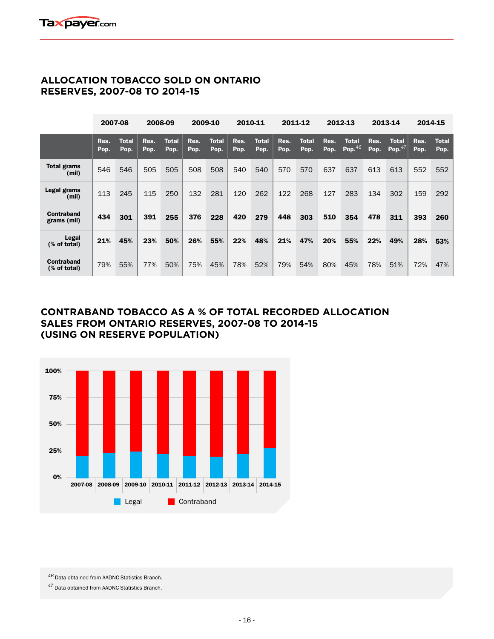### **ALLOCATION TOBACCO SOLD ON ONTARIO RESERVES, 2007-08 TO 2014-15**

|                            | 2007-08      |               |              | 2008-09              |              | 2009-10              |              | 2010-11              |              | 2011-12       |              | 2012-13            |              | 2013-14                   |              | 2014-15              |
|----------------------------|--------------|---------------|--------------|----------------------|--------------|----------------------|--------------|----------------------|--------------|---------------|--------------|--------------------|--------------|---------------------------|--------------|----------------------|
|                            | Res.<br>Pop. | Total<br>Pop. | Res.<br>Pop. | <b>Total</b><br>Pop. | Res.<br>Pop. | <b>Total</b><br>Pop. | Res.<br>Pop. | <b>Total</b><br>Pop. | Res.<br>Pop. | Total<br>Pop. | Res.<br>Pop. | Total<br>Pop. $46$ | Res.<br>Pop. | <b>Total</b><br>Pop. $47$ | Res.<br>Pop. | <b>Total</b><br>Pop. |
| Total grams<br>(mil)       | 546          | 546           | 505          | 505                  | 508          | 508                  | 540          | 540                  | 570          | 570           | 637          | 637                | 613          | 613                       | 552          | 552                  |
| Legal grams<br>(mil)       | 113          | 245           | 115          | 250                  | 132          | 281                  | 120          | 262                  | 122          | 268           | 127          | 283                | 134          | 302                       | 159          | 292                  |
| Contraband<br>grams (mil)  | 434          | 301           | 391          | 255                  | 376          | 228                  | 420          | 279                  | 448          | 303           | 510          | 354                | 478          | 311                       | 393          | 260                  |
| Legal<br>(% of total)      | 21%          | 45%           | 23%          | 50%                  | 26%          | 55%                  | 22%          | 48%                  | 21%          | 47%           | 20%          | 55%                | 22%          | 49%                       | 28%          | 53%                  |
| Contraband<br>(% of total) | 79%          | 55%           | 77%          | 50%                  | 75%          | 45%                  | 78%          | 52%                  | 79%          | 54%           | 80%          | 45%                | 78%          | 51%                       | 72%          | 47%                  |

#### **CONTRABAND TOBACCO AS A % OF TOTAL RECORDED ALLOCATION SALES FROM ONTARIO RESERVES, 2007-08 TO 2014-15 (USING ON RESERVE POPULATION)**



46 Data obtained from AADNC Statistics Branch.

*<sup>47</sup>*Data obtained from AADNC Statistics Branch.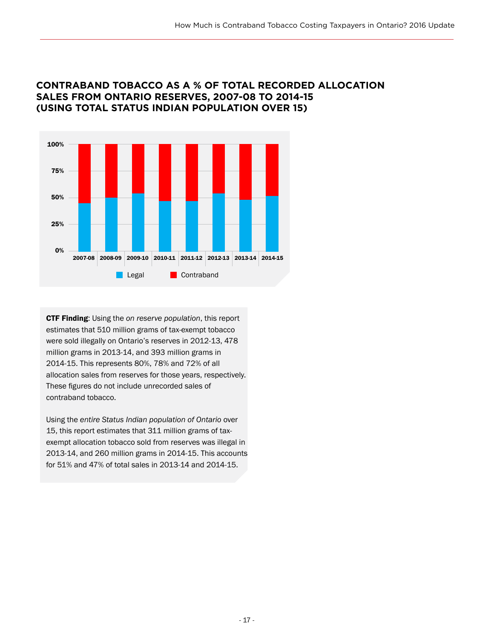#### **CONTRABAND TOBACCO AS A % OF TOTAL RECORDED ALLOCATION SALES FROM ONTARIO RESERVES, 2007-08 TO 2014-15 (USING TOTAL STATUS INDIAN POPULATION OVER 15)**



CTF Finding: Using the *on reserve population*, this report estimates that 510 million grams of tax-exempt tobacco were sold illegally on Ontario's reserves in 2012-13, 478 million grams in 2013-14, and 393 million grams in 2014-15. This represents 80%, 78% and 72% of all allocation sales from reserves for those years, respectively. These figures do not include unrecorded sales of contraband tobacco.

Using the *entire Status Indian population of Ontario* over 15, this report estimates that 311 million grams of taxexempt allocation tobacco sold from reserves was illegal in 2013-14, and 260 million grams in 2014-15. This accounts for 51% and 47% of total sales in 2013-14 and 2014-15.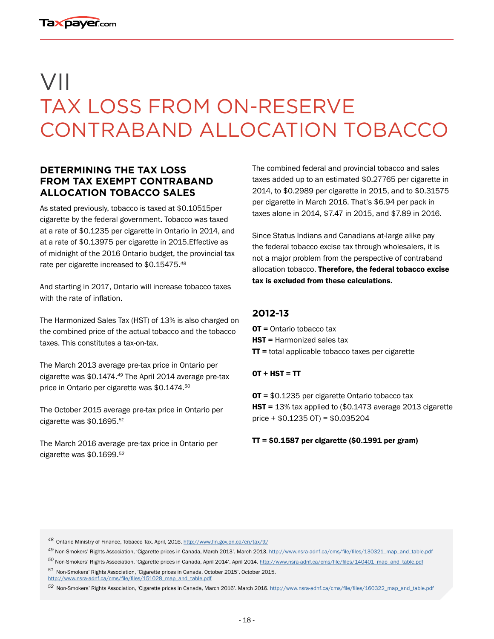# VII TAX LOSS FROM ON-RESERVE CONTRABAND ALLOCATION TOBACCO

#### **DETERMINING THE TAX LOSS FROM TAX EXEMPT CONTRABAND ALLOCATION TOBACCO SALES**

As stated previously, tobacco is taxed at \$0.10515per cigarette by the federal government. Tobacco was taxed at a rate of \$0.1235 per cigarette in Ontario in 2014, and at a rate of \$0.13975 per cigarette in 2015.Effective as of midnight of the 2016 Ontario budget, the provincial tax rate per cigarette increased to \$0.15475.*<sup>48</sup>*

And starting in 2017, Ontario will increase tobacco taxes with the rate of inflation.

The Harmonized Sales Tax (HST) of 13% is also charged on the combined price of the actual tobacco and the tobacco taxes. This constitutes a tax-on-tax.

The March 2013 average pre-tax price in Ontario per cigarette was \$0.1474.*<sup>49</sup>* The April 2014 average pre-tax price in Ontario per cigarette was \$0.1474.*<sup>50</sup>*

The October 2015 average pre-tax price in Ontario per cigarette was \$0.1695.*<sup>51</sup>*

The March 2016 average pre-tax price in Ontario per cigarette was \$0.1699.*<sup>52</sup>*

The combined federal and provincial tobacco and sales taxes added up to an estimated \$0.27765 per cigarette in 2014, to \$0.2989 per cigarette in 2015, and to \$0.31575 per cigarette in March 2016. That's \$6.94 per pack in taxes alone in 2014, \$7.47 in 2015, and \$7.89 in 2016.

Since Status Indians and Canadians at-large alike pay the federal tobacco excise tax through wholesalers, it is not a major problem from the perspective of contraband allocation tobacco. Therefore, the federal tobacco excise tax is excluded from these calculations.

### **2012-13**

OT = Ontario tobacco tax **HST** = Harmonized sales tax  $TT$  = total applicable tobacco taxes per cigarette

#### $OT + HST = TT$

OT = \$0.1235 per cigarette Ontario tobacco tax HST = 13% tax applied to (\$0.1473 average 2013 cigarette price + \$0.1235 OT) = \$0.035204

 $TT = $0.1587$  per cigarette (\$0.1991 per gram)

*<sup>48</sup>*Ontario Ministry of Finance, Tobacco Tax. April, 2016. <http://www.fin.gov.on.ca/en/tax/tt/>

*<sup>49</sup>* Non-Smokers' Rights Association, 'Cigarette prices in Canada, March 2013'. March 2013. [http://www.nsra-adnf.ca/cms/file/files/130321\\_map\\_and\\_table.pdf](http://www.nsra-adnf.ca/cms/file/files/130321_map_and_table.pdf )

*<sup>50</sup>* Non-Smokers' Rights Association, 'Cigarette prices in Canada, April 2014'. April 2014. [http://www.nsra-adnf.ca/cms/file/files/140401\\_map\\_and\\_table.pdf](http://www.nsra-adnf.ca/cms/file/files/140401_map_and_table.pdf) *<sup>51</sup>* Non-Smokers' Rights Association, 'Cigarette prices in Canada, October 2015'. October 2015. [http://www.nsra-adnf.ca/cms/file/files/151028\\_map\\_and\\_table.pdf](http://www.nsra-adnf.ca/cms/file/files/151028_map_and_table.pdf)

*<sup>52</sup>* Non-Smokers' Rights Association, 'Cigarette prices in Canada, March 2016'. March 2016. [http://www.nsra-adnf.ca/cms/file/files/160322\\_map\\_and\\_table.pdf](http://www.nsra-adnf.ca/cms/file/files/160322_map_and_table.pdf)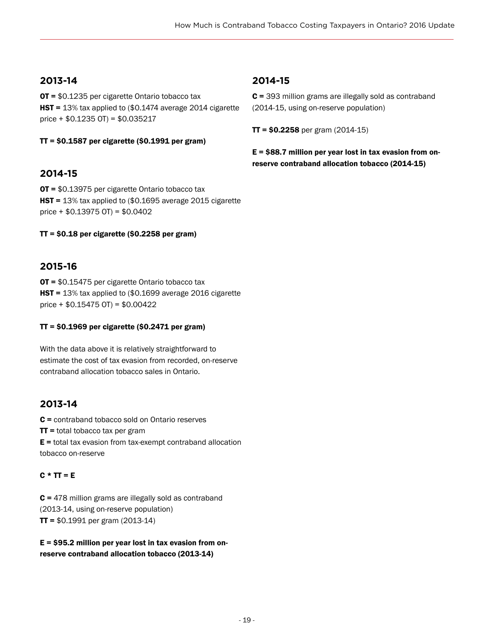### **2013-14**

OT = \$0.1235 per cigarette Ontario tobacco tax HST = 13% tax applied to (\$0.1474 average 2014 cigarette price + \$0.1235 OT) = \$0.035217

 $TT = $0.1587$  per cigarette (\$0.1991 per gram)

### **2014-15**

OT = \$0.13975 per cigarette Ontario tobacco tax HST = 13% tax applied to (\$0.1695 average 2015 cigarette price + \$0.13975 OT) = \$0.0402

 $TT = $0.18$  per cigarette (\$0.2258 per gram)

### **2015-16**

OT = \$0.15475 per cigarette Ontario tobacco tax HST = 13% tax applied to (\$0.1699 average 2016 cigarette price  $+$  \$0.15475 OT) = \$0.00422

#### TT = \$0.1969 per cigarette (\$0.2471 per gram)

With the data above it is relatively straightforward to estimate the cost of tax evasion from recorded, on-reserve contraband allocation tobacco sales in Ontario.

### **2013-14**

C = contraband tobacco sold on Ontario reserves

 $TT =$  total tobacco tax per gram

 $E =$  total tax evasion from tax-exempt contraband allocation tobacco on-reserve

#### $C * TT = E$

 $C = 478$  million grams are illegally sold as contraband (2013-14, using on-reserve population)  $TT = $0.1991$  per gram (2013-14)

 $E = $95.2$  million per year lost in tax evasion from onreserve contraband allocation tobacco (2013-14)

#### **2014-15**

C = 393 million grams are illegally sold as contraband (2014-15, using on-reserve population)

 $TT = $0.2258$  per gram (2014-15)

 $E = $88.7$  million per year lost in tax evasion from onreserve contraband allocation tobacco (2014-15)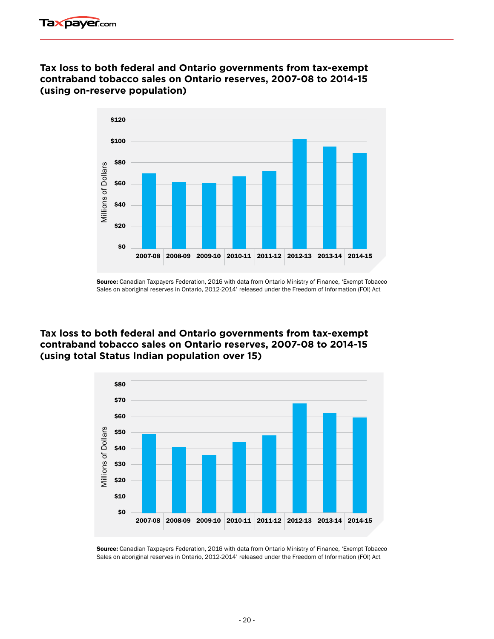#### **Tax loss to both federal and Ontario governments from tax-exempt contraband tobacco sales on Ontario reserves, 2007-08 to 2014-15 (using on-reserve population)**



Source: Canadian Taxpayers Federation, 2016 with data from Ontario Ministry of Finance, 'Exempt Tobacco Sales on aboriginal reserves in Ontario, 2012-2014' released under the Freedom of Information (FOI) Act

### **Tax loss to both federal and Ontario governments from tax-exempt contraband tobacco sales on Ontario reserves, 2007-08 to 2014-15 (using total Status Indian population over 15)**



Source: Canadian Taxpayers Federation, 2016 with data from Ontario Ministry of Finance, 'Exempt Tobacco Sales on aboriginal reserves in Ontario, 2012-2014' released under the Freedom of Information (FOI) Act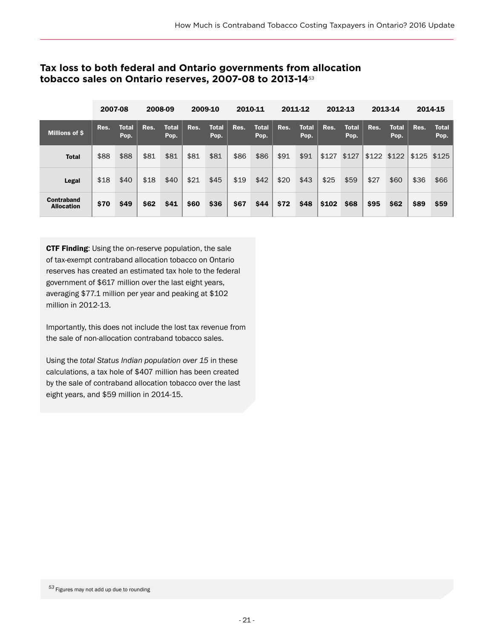#### **Tax loss to both federal and Ontario governments from allocation tobacco sales on Ontario reserves, 2007-08 to 2013-14***<sup>53</sup>*

|                                 | 2007-08 |                      |      | 2008-09              |      | 2009-10              | 2010-11 |                      |      | 2011-12              |       | 2012-13              |      | 2013-14              |      | 2014-15              |
|---------------------------------|---------|----------------------|------|----------------------|------|----------------------|---------|----------------------|------|----------------------|-------|----------------------|------|----------------------|------|----------------------|
| <b>Millions of \$</b>           | Res.    | <b>Total</b><br>Pop. | Res. | <b>Total</b><br>Pop. | Res. | <b>Total</b><br>Pop. | Res.    | <b>Total</b><br>Pop. | Res. | <b>Total</b><br>Pop. | Res.  | <b>Total</b><br>Pop. | Res. | <b>Total</b><br>Pop. | Res. | <b>Total</b><br>Pop. |
| <b>Total</b>                    | \$88    | \$88                 | \$81 | \$81                 | \$81 | \$81                 | \$86    | \$86                 | \$91 | \$91                 | \$127 | \$127                |      | \$122 \$122          |      | $$125$ $$125$        |
| Legal                           | \$18    | \$40                 | \$18 | \$40                 | \$21 | \$45                 | \$19    | \$42                 | \$20 | \$43                 | \$25  | \$59                 | \$27 | \$60                 | \$36 | \$66                 |
| Contraband<br><b>Allocation</b> | \$70    | \$49                 | \$62 | \$41                 | \$60 | \$36                 | \$67    | \$44                 | \$72 | \$48                 | \$102 | \$68                 | \$95 | \$62                 | \$89 | \$59                 |

CTF Finding: Using the on-reserve population, the sale of tax-exempt contraband allocation tobacco on Ontario reserves has created an estimated tax hole to the federal government of \$617 million over the last eight years, averaging \$77.1 million per year and peaking at \$102 million in 2012-13.

Importantly, this does not include the lost tax revenue from the sale of non-allocation contraband tobacco sales.

Using the *total Status Indian population over 15* in these calculations, a tax hole of \$407 million has been created by the sale of contraband allocation tobacco over the last eight years, and \$59 million in 2014-15.

*<sup>53</sup>*Figures may not add up due to rounding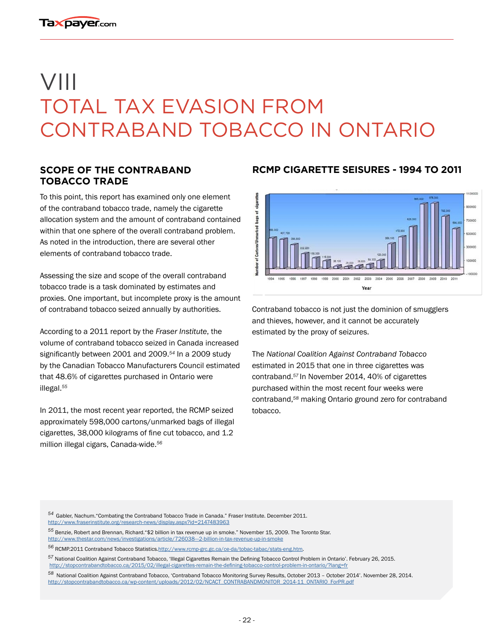# VIII TOTAL TAX EVASION FROM CONTRABAND TOBACCO IN ONTARIO

#### **SCOPE OF THE CONTRABAND TOBACCO TRADE**

To this point, this report has examined only one element of the contraband tobacco trade, namely the cigarette allocation system and the amount of contraband contained within that one sphere of the overall contraband problem. As noted in the introduction, there are several other elements of contraband tobacco trade.

Assessing the size and scope of the overall contraband tobacco trade is a task dominated by estimates and proxies. One important, but incomplete proxy is the amount of contraband tobacco seized annually by authorities.

According to a 2011 report by the *Fraser Institute*, the volume of contraband tobacco seized in Canada increased significantly between 2001 and 2009.*<sup>54</sup>* In a 2009 study by the Canadian Tobacco Manufacturers Council estimated that 48.6% of cigarettes purchased in Ontario were illegal.*<sup>55</sup>*

In 2011, the most recent year reported, the RCMP seized approximately 598,000 cartons/unmarked bags of illegal cigarettes, 38,000 kilograms of fine cut tobacco, and 1.2 million illegal cigars, Canada-wide.*<sup>56</sup>*

#### **RCMP CIGARETTE SEISURES - 1994 TO 2011**



Contraband tobacco is not just the dominion of smugglers and thieves, however, and it cannot be accurately estimated by the proxy of seizures.

The *National Coalition Against Contraband Tobacco* estimated in 2015 that one in three cigarettes was contraband.*<sup>57</sup>*In November 2014, 40% of cigarettes purchased within the most recent four weeks were contraband,*<sup>58</sup>* making Ontario ground zero for contraband tobacco.

- *<sup>54</sup>*Gabler, Nachum."Combating the Contraband Tobacco Trade in Canada." Fraser Institute. December 2011. <http://www.fraserinstitute.org/research-news/display.aspx?id=2147483963>
- *<sup>55</sup>* Benzie, Robert and Brennan, Richard."\$2 billion in tax revenue up in smoke." November 15, 2009. The Toronto Star. <http://www.thestar.com/news/investigations/article/726038---2-billion-in-tax-revenue-up-in-smoke>
- *<sup>56</sup>* RCMP.2011 Contraband Tobacco Statistics[.http://www.rcmp-grc.gc.ca/ce-da/tobac-tabac/stats-eng.htm](http://www.rcmp-grc.gc.ca/ce-da/tobac-tabac/stats-eng.htm).
- *<sup>57</sup>* National Coalition Against Contraband Tobacco, 'Illegal Cigarettes Remain the Defining Tobacco Control Problem in Ontario'. February 26, 2015. [http://stopcontrabandtobacco.ca/2015/02/illegal-cigarettes-remain-the-defining-tobacco-control-problem-in-ontario/?lang=fr](http://stopcontrabandtobacco.ca/2015/02/illegal-cigarettes-remain-the-defining-tobacco-control-probl)
- *<sup>58</sup>* National Coalition Against Contraband Tobacco, 'Contraband Tobacco Monitoring Survey Results, October 2013 October 2014'. November 28, 2014. [http://stopcontrabandtobacco.ca/wp-content/uploads/2012/02/NCACT\\_CONTRABANDMONITOR\\_2014-11\\_ONTARIO\\_ForPR.pdf](http://stopcontrabandtobacco.ca/wp-content/uploads/2012/02/NCACT_CONTRABANDMONITOR_2014-11_ONTARIO_F)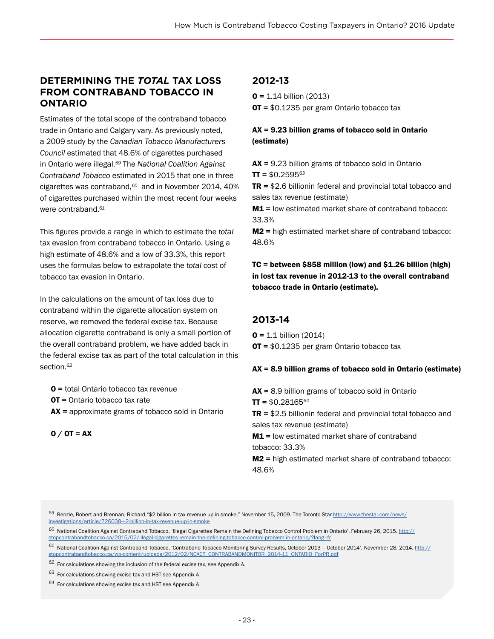#### **DETERMINING THE** *TOTAL* **TAX LOSS FROM CONTRABAND TOBACCO IN ONTARIO**

Estimates of the total scope of the contraband tobacco trade in Ontario and Calgary vary. As previously noted, a 2009 study by the *Canadian Tobacco Manufacturers Council* estimated that 48.6% of cigarettes purchased in Ontario were illegal.*<sup>59</sup>* The *National Coalition Against Contraband Tobacco* estimated in 2015 that one in three cigarettes was contraband,*<sup>60</sup>* and in November 2014, 40% of cigarettes purchased within the most recent four weeks were contraband.*<sup>61</sup>*

This figures provide a range in which to estimate the *total* tax evasion from contraband tobacco in Ontario. Using a high estimate of 48.6% and a low of 33.3%, this report uses the formulas below to extrapolate the *total* cost of tobacco tax evasion in Ontario.

In the calculations on the amount of tax loss due to contraband within the cigarette allocation system on reserve, we removed the federal excise tax. Because allocation cigarette contraband is only a small portion of the overall contraband problem, we have added back in the federal excise tax as part of the total calculation in this section.*<sup>62</sup>*

O = total Ontario tobacco tax revenue

OT = Ontario tobacco tax rate

 $AX =$  approximate grams of tobacco sold in Ontario

```
0 / 0T = AX
```
## **2012-13**

 $0 = 1.14$  billion (2013) OT = \$0.1235 per gram Ontario tobacco tax

AX = 9.23 billion grams of tobacco sold in Ontario (estimate)

 $AX = 9.23$  billion grams of tobacco sold in Ontario  $TT = $0.2595^{63}$ 

 $TR = $2.6$  billionin federal and provincial total tobacco and sales tax revenue (estimate)

M1 = low estimated market share of contraband tobacco: 33.3%

M2 = high estimated market share of contraband tobacco: 48.6%

TC = between \$858 million (low) and \$1.26 billion (high) in lost tax revenue in 2012-13 to the overall contraband tobacco trade in Ontario (estimate).

#### **2013-14**

 $0 = 1.1$  billion (2014) OT = \$0.1235 per gram Ontario tobacco tax

#### AX = 8.9 billion grams of tobacco sold in Ontario (estimate)

 $AX = 8.9$  billion grams of tobacco sold in Ontario TT = \$0.28165*<sup>64</sup>*  $TR = $2.5$  billionin federal and provincial total tobacco and sales tax revenue (estimate) M1 = low estimated market share of contraband tobacco: 33.3% M2 = high estimated market share of contraband tobacco: 48.6%

*<sup>59</sup>*Benzie, Robert and Brennan, Richard."\$2 billion in tax revenue up in smoke." November 15, 2009. The Toronto Star.[http://www.thestar.com/news/](http://www.thestar.com/news/investigations/article/726038---2-billion-in-tax-revenue-up-in-smoke) [investigations/article/726038---2-billion-in-tax-revenue-up-in-smoke](http://www.thestar.com/news/investigations/article/726038---2-billion-in-tax-revenue-up-in-smoke)

*<sup>60</sup>*National Coalition Against Contraband Tobacco, 'Illegal Cigarettes Remain the Defining Tobacco Control Problem in Ontario'. February 26, 2015. [http://](http://stopcontrabandtobacco.ca/2015/02/illegal-cigarettes-remain-the-defining-tobacco-control-probl) [stopcontrabandtobacco.ca/2015/02/illegal-cigarettes-remain-the-defining-tobacco-control-problem-in-ontario/?lang=fr](http://stopcontrabandtobacco.ca/2015/02/illegal-cigarettes-remain-the-defining-tobacco-control-probl)

*<sup>61</sup>* National Coalition Against Contraband Tobacco, 'Contraband Tobacco Monitoring Survey Results, October 2013 – October 2014'. November 28, 2014. [http://](http://stopcontrabandtobacco.ca/wp-content/uploads/2012/02/NCACT_CONTRABANDMONITOR_2014-11_ONTARIO_F) [stopcontrabandtobacco.ca/wp-content/uploads/2012/02/NCACT\\_CONTRABANDMONITOR\\_2014-11\\_ONTARIO\\_ForPR.pdf](http://stopcontrabandtobacco.ca/wp-content/uploads/2012/02/NCACT_CONTRABANDMONITOR_2014-11_ONTARIO_F)

*<sup>62</sup>* For calculations showing the inclusion of the federal excise tax, see Appendix A.

*<sup>63</sup>* For calculations showing excise tax and HST see Appendix A

*<sup>64</sup>* For calculations showing excise tax and HST see Appendix A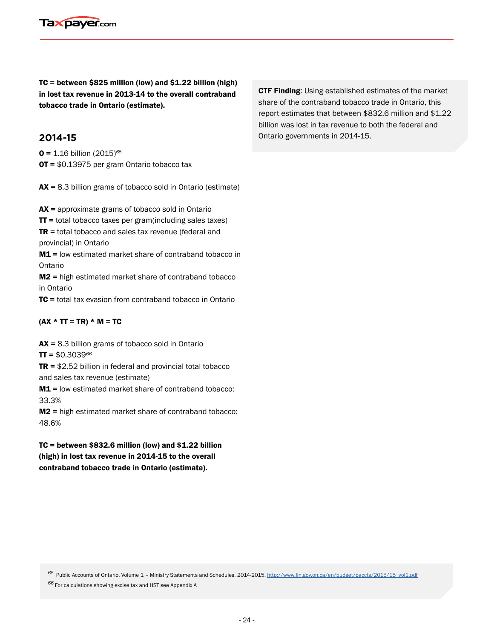

TC = between \$825 million (low) and \$1.22 billion (high) in lost tax revenue in 2013-14 to the overall contraband tobacco trade in Ontario (estimate).

#### **2014-15**

O = 1.16 billion (2015)*<sup>65</sup>* OT = \$0.13975 per gram Ontario tobacco tax

AX = 8.3 billion grams of tobacco sold in Ontario (estimate)

AX = approximate grams of tobacco sold in Ontario

 $TT$  = total tobacco taxes per gram(including sales taxes)

 $TR =$  total tobacco and sales tax revenue (federal and provincial) in Ontario

M1 = low estimated market share of contraband tobacco in Ontario

M2 = high estimated market share of contraband tobacco in Ontario

TC = total tax evasion from contraband tobacco in Ontario

#### $(AX * TT = TR) * M = TC$

 $AX = 8.3$  billion grams of tobacco sold in Ontario TT = \$0.3039*<sup>66</sup>*

 $TR = $2.52$  billion in federal and provincial total tobacco and sales tax revenue (estimate)

M1 = low estimated market share of contraband tobacco: 33.3%

M2 = high estimated market share of contraband tobacco: 48.6%

 $TC = between $832.6 million (low) and $1.22 billion$ (high) in lost tax revenue in 2014-15 to the overall contraband tobacco trade in Ontario (estimate).

**CTF Finding:** Using established estimates of the market share of the contraband tobacco trade in Ontario, this report estimates that between \$832.6 million and \$1.22 billion was lost in tax revenue to both the federal and Ontario governments in 2014-15.

*<sup>65</sup>*Public Accounts of Ontario, Volume 1 – Ministry Statements and Schedules, 2014-2015. [http://www.fin.gov.on.ca/en/budget/paccts/2015/15\\_vol1.pdf](http://www.fin.gov.on.ca/en/budget/paccts/2015/15_vol1.pdf)

*<sup>66</sup>*For calculations showing excise tax and HST see Appendix A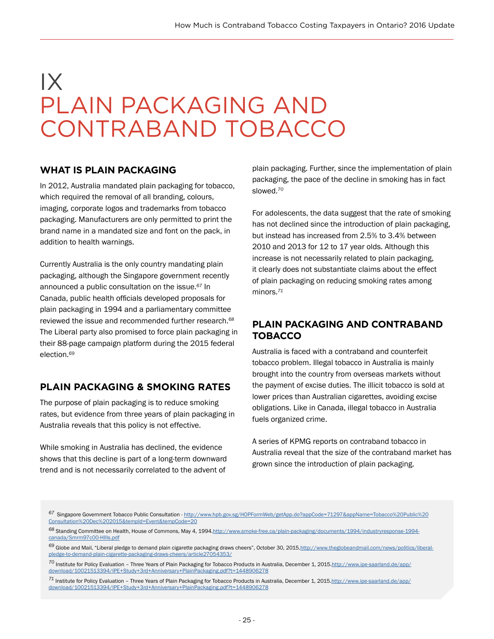# IX PLAIN PACKAGING AND CONTRABAND TOBACCO

#### **WHAT IS PLAIN PACKAGING**

In 2012, Australia mandated plain packaging for tobacco, which required the removal of all branding, colours, imaging, corporate logos and trademarks from tobacco packaging. Manufacturers are only permitted to print the brand name in a mandated size and font on the pack, in addition to health warnings.

Currently Australia is the only country mandating plain packaging, although the Singapore government recently announced a public consultation on the issue.*<sup>67</sup>* In Canada, public health officials developed proposals for plain packaging in 1994 and a parliamentary committee reviewed the issue and recommended further research.*<sup>68</sup>* The Liberal party also promised to force plain packaging in their 88-page campaign platform during the 2015 federal election.*<sup>69</sup>*

#### **PLAIN PACKAGING & SMOKING RATES**

The purpose of plain packaging is to reduce smoking rates, but evidence from three years of plain packaging in Australia reveals that this policy is not effective.

While smoking in Australia has declined, the evidence shows that this decline is part of a long-term downward trend and is not necessarily correlated to the advent of plain packaging. Further, since the implementation of plain packaging, the pace of the decline in smoking has in fact slowed.*<sup>70</sup>*

For adolescents, the data suggest that the rate of smoking has not declined since the introduction of plain packaging, but instead has increased from 2.5% to 3.4% between 2010 and 2013 for 12 to 17 year olds. Although this increase is not necessarily related to plain packaging, it clearly does not substantiate claims about the effect of plain packaging on reducing smoking rates among minors.*<sup>71</sup>*

#### **PLAIN PACKAGING AND CONTRABAND TOBACCO**

Australia is faced with a contraband and counterfeit tobacco problem. Illegal tobacco in Australia is mainly brought into the country from overseas markets without the payment of excise duties. The illicit tobacco is sold at lower prices than Australian cigarettes, avoiding excise obligations. Like in Canada, illegal tobacco in Australia fuels organized crime.

A series of KPMG reports on contraband tobacco in Australia reveal that the size of the contraband market has grown since the introduction of plain packaging.

- *<sup>67</sup>*Singapore Government Tobacco Public Consultation - [http://www.hpb.gov.sg/HOPFormWeb/getApp.do?appCode=71297&appName=Tobacco%20Public%20](http://www.hpb.gov.sg/HOPFormWeb/getApp.do?appCode=71297&appName=Tobacco%20Public%20Consultation%20D) [Consultation%20Dec%202015&tempId=Event&tempCode=20](http://www.hpb.gov.sg/HOPFormWeb/getApp.do?appCode=71297&appName=Tobacco%20Public%20Consultation%20D)
- *<sup>68</sup>* Standing Committee on Health, House of Commons, May 4, 1994.[http://www.smoke-free.ca/plain-packaging/documents/1994/industryresponse-1994](http://www.smoke-free.ca/plain-packaging/documents/1994/industryresponse-1994-canada/Smrm97c00-HIlls) [canada/Smrm97c00-HIlls.pdf](http://www.smoke-free.ca/plain-packaging/documents/1994/industryresponse-1994-canada/Smrm97c00-HIlls)
- *<sup>69</sup>* Globe and Mail, "Liberal pledge to demand plain cigarette packaging draws cheers", October 30, 2015[.http://www.theglobeandmail.com/news/politics/liberal](http://www.theglobeandmail.com/news/politics/liberal-pledge-to-demand-plain-cigarette-packaging-draw)pledge-to-demand-plain-cigarette-packaging-draws-cheers/article27
- *<sup>70</sup>* Institute for Policy Evaluation Three Years of Plain Packaging for Tobacco Products in Australia, December 1, 2015[.http://www.ipe-saarland.de/app/](http://www.ipe-saarland.de/app/download/10021513394/IPE+Study+3rd+Anniversary+PlainPackaging.pdf?t=1) [download/10021513394/IPE+Study+3rd+Anniversary+PlainPackaging.pdf?t=1448906278](http://www.ipe-saarland.de/app/download/10021513394/IPE+Study+3rd+Anniversary+PlainPackaging.pdf?t=1)
- *<sup>71</sup>* Institute for Policy Evaluation Three Years of Plain Packaging for Tobacco Products in Australia, December 1, 2015.[http://www.ipe-saarland.de/app/](http://www.ipe-saarland.de/app/download/10021513394/IPE+Study+3rd+Anniversary+PlainPackaging.pdf?t=1) [download/10021513394/IPE+Study+3rd+Anniversary+PlainPackaging.pdf?t=1448906278](http://www.ipe-saarland.de/app/download/10021513394/IPE+Study+3rd+Anniversary+PlainPackaging.pdf?t=1)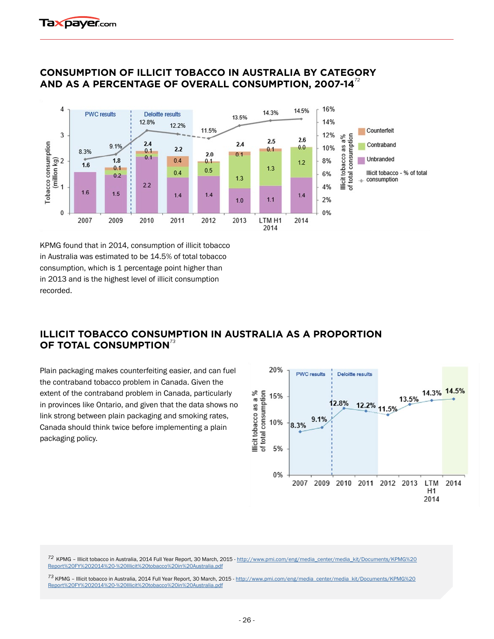

#### **CONSUMPTION OF ILLICIT TOBACCO IN AUSTRALIA BY CATEGORY AND AS A PERCENTAGE OF OVERALL CONSUMPTION, 2007-14***<sup>72</sup>*

KPMG found that in 2014, consumption of illicit tobacco in Australia was estimated to be 14.5% of total tobacco consumption, which is 1 percentage point higher than in 2013 and is the highest level of illicit consumption recorded.

## **ILLICIT TOBACCO CONSUMPTION IN AUSTRALIA AS A PROPORTION OF TOTAL CONSUMPTION***<sup>73</sup>*

Plain packaging makes counterfeiting easier, and can fuel the contraband tobacco problem in Canada. Given the extent of the contraband problem in Canada, particularly in provinces like Ontario, and given that the data shows no link strong between plain packaging and smoking rates, Canada should think twice before implementing a plain packaging policy.



*<sup>72</sup>*KPMG – Illicit tobacco in Australia, 2014 Full Year Report, 30 March, 2015 - [http://www.pmi.com/eng/media\\_center/media\\_kit/Documents/KPMG%20](http://www.pmi.com/eng/media_center/media_kit/Documents/KPMG%20Report%20FY%202014%20-%20Illicit%20to) [Report%20FY%202014%20-%20Illicit%20tobacco%20in%20Australia.pdf](http://www.pmi.com/eng/media_center/media_kit/Documents/KPMG%20Report%20FY%202014%20-%20Illicit%20to)

73 KPMG – Illicit tobacco in Australia, 2014 Full Year Report, 30 March, 2015 - [http://www.pmi.com/eng/media\\_center/media\\_kit/Documents/KPMG%20](http://www.pmi.com/eng/media_center/media_kit/Documents/KPMG%20Report%20FY%202014%20-%20Illicit%20to)<br>Report%20FY%202014%20-%20Illicit%20tobacco%20in%20Australia.pdf Report%20FY%202014%20-%20Illicit%20tobacco%20in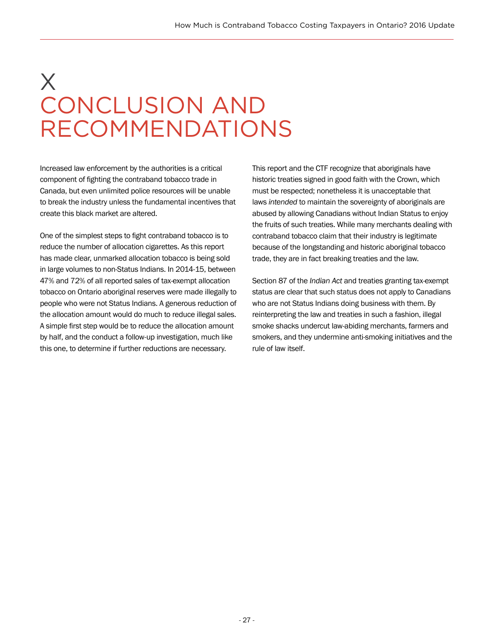# X CONCLUSION AND RECOMMENDATIONS

Increased law enforcement by the authorities is a critical component of fighting the contraband tobacco trade in Canada, but even unlimited police resources will be unable to break the industry unless the fundamental incentives that create this black market are altered.

One of the simplest steps to fight contraband tobacco is to reduce the number of allocation cigarettes. As this report has made clear, unmarked allocation tobacco is being sold in large volumes to non-Status Indians. In 2014-15, between 47% and 72% of all reported sales of tax-exempt allocation tobacco on Ontario aboriginal reserves were made illegally to people who were not Status Indians. A generous reduction of the allocation amount would do much to reduce illegal sales. A simple first step would be to reduce the allocation amount by half, and the conduct a follow-up investigation, much like this one, to determine if further reductions are necessary.

This report and the CTF recognize that aboriginals have historic treaties signed in good faith with the Crown, which must be respected; nonetheless it is unacceptable that laws *intended* to maintain the sovereignty of aboriginals are abused by allowing Canadians without Indian Status to enjoy the fruits of such treaties. While many merchants dealing with contraband tobacco claim that their industry is legitimate because of the longstanding and historic aboriginal tobacco trade, they are in fact breaking treaties and the law.

Section 87 of the *Indian Act* and treaties granting tax-exempt status are clear that such status does not apply to Canadians who are not Status Indians doing business with them. By reinterpreting the law and treaties in such a fashion, illegal smoke shacks undercut law-abiding merchants, farmers and smokers, and they undermine anti-smoking initiatives and the rule of law itself.